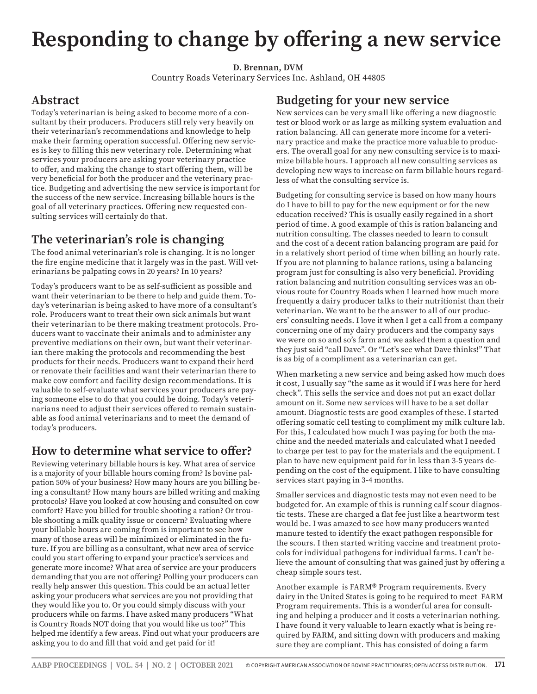# **Responding to change by offering a new service**

**D. Brennan, DVM**

Country Roads Veterinary Services Inc. Ashland, OH 44805

## **Abstract**

Today's veterinarian is being asked to become more of a consultant by their producers. Producers still rely very heavily on their veterinarian's recommendations and knowledge to help make their farming operation successful. Offering new services is key to filling this new veterinary role. Determining what services your producers are asking your veterinary practice to offer, and making the change to start offering them, will be very beneficial for both the producer and the veterinary practice. Budgeting and advertising the new service is important for the success of the new service. Increasing billable hours is the goal of all veterinary practices. Offering new requested consulting services will certainly do that.

## **The veterinarian's role is changing**

The food animal veterinarian's role is changing. It is no longer the fire engine medicine that it largely was in the past. Will veterinarians be palpating cows in 20 years? In 10 years?

Today's producers want to be as self-sufficient as possible and want their veterinarian to be there to help and guide them. Today's veterinarian is being asked to have more of a consultant's role. Producers want to treat their own sick animals but want their veterinarian to be there making treatment protocols. Producers want to vaccinate their animals and to administer any preventive mediations on their own, but want their veterinarian there making the protocols and recommending the best products for their needs. Producers want to expand their herd or renovate their facilities and want their veterinarian there to make cow comfort and facility design recommendations. It is valuable to self-evaluate what services your producers are paying someone else to do that you could be doing. Today's veterinarians need to adjust their services offered to remain sustainable as food animal veterinarians and to meet the demand of today's producers.

## **How to determine what service to offer?**

Reviewing veterinary billable hours is key. What area of service is a majority of your billable hours coming from? Is bovine palpation 50% of your business? How many hours are you billing being a consultant? How many hours are billed writing and making protocols? Have you looked at cow housing and consulted on cow comfort? Have you billed for trouble shooting a ration? Or trouble shooting a milk quality issue or concern? Evaluating where your billable hours are coming from is important to see how many of those areas will be minimized or eliminated in the future. If you are billing as a consultant, what new area of service could you start offering to expand your practice's services and generate more income? What area of service are your producers demanding that you are not offering? Polling your producers can really help answer this question. This could be an actual letter asking your producers what services are you not providing that they would like you to. Or you could simply discuss with your producers while on farms. I have asked many producers "What is Country Roads NOT doing that you would like us too?" This helped me identify a few areas. Find out what your producers are asking you to do and fill that void and get paid for it!

## **Budgeting for your new service**

New services can be very small like offering a new diagnostic test or blood work or as large as milking system evaluation and ration balancing. All can generate more income for a veterinary practice and make the practice more valuable to producers. The overall goal for any new consulting service is to maximize billable hours. I approach all new consulting services as developing new ways to increase on farm billable hours regardless of what the consulting service is.

Budgeting for consulting service is based on how many hours do I have to bill to pay for the new equipment or for the new education received? This is usually easily regained in a short period of time. A good example of this is ration balancing and nutrition consulting. The classes needed to learn to consult and the cost of a decent ration balancing program are paid for in a relatively short period of time when billing an hourly rate. If you are not planning to balance rations, using a balancing program just for consulting is also very beneficial. Providing ration balancing and nutrition consulting services was an obvious route for Country Roads when I learned how much more frequently a dairy producer talks to their nutritionist than their veterinarian. We want to be the answer to all of our producers' consulting needs. I love it when I get a call from a company concerning one of my dairy producers and the company says we were on so and so's farm and we asked them a question and they just said "call Dave". Or "Let's see what Dave thinks!" That is as big of a compliment as a veterinarian can get.

When marketing a new service and being asked how much does it cost, I usually say "the same as it would if I was here for herd check". This sells the service and does not put an exact dollar amount on it. Some new services will have to be a set dollar amount. Diagnostic tests are good examples of these. I started offering somatic cell testing to compliment my milk culture lab. For this, I calculated how much I was paying for both the machine and the needed materials and calculated what I needed to charge per test to pay for the materials and the equipment. I plan to have new equipment paid for in less than 3-5 years depending on the cost of the equipment. I like to have consulting services start paying in 3-4 months.

Smaller services and diagnostic tests may not even need to be budgeted for. An example of this is running calf scour diagnostic tests. These are charged a flat fee just like a heartworm test would be. I was amazed to see how many producers wanted manure tested to identify the exact pathogen responsible for the scours. I then started writing vaccine and treatment protocols for individual pathogens for individual farms. I can't believe the amount of consulting that was gained just by offering a cheap simple sours test.

Another example is FARM® Program requirements. Every dairy in the United States is going to be required to meet FARM Program requirements. This is a wonderful area for consulting and helping a producer and it costs a veterinarian nothing. I have found it very valuable to learn exactly what is being required by FARM, and sitting down with producers and making sure they are compliant. This has consisted of doing a farm